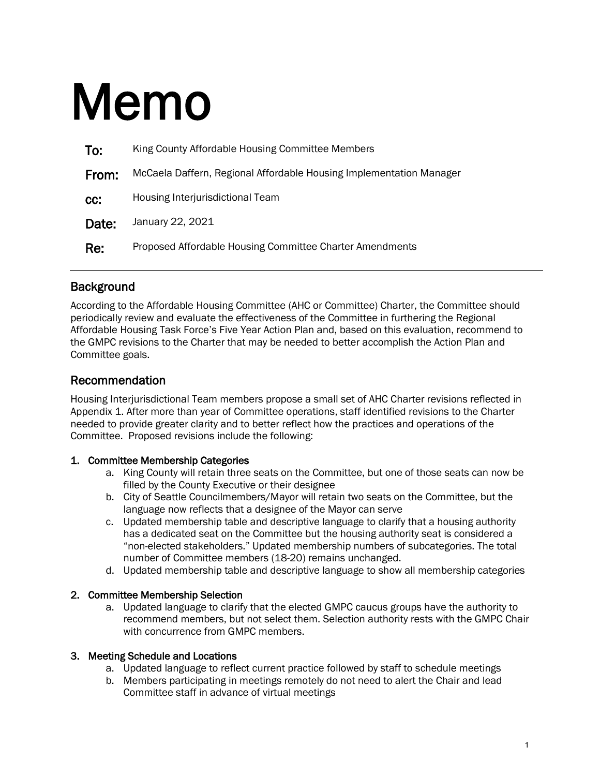# Memo

| To:   | King County Affordable Housing Committee Members                    |
|-------|---------------------------------------------------------------------|
| From: | McCaela Daffern, Regional Affordable Housing Implementation Manager |
| CC:   | Housing Interjurisdictional Team                                    |
| Date: | January 22, 2021                                                    |
| Re:   | Proposed Affordable Housing Committee Charter Amendments            |

# **Background**

According to the Affordable Housing Committee (AHC or Committee) Charter, the Committee should periodically review and evaluate the effectiveness of the Committee in furthering the Regional Affordable Housing Task Force's Five Year Action Plan and, based on this evaluation, recommend to the GMPC revisions to the Charter that may be needed to better accomplish the Action Plan and Committee goals.

# Recommendation

Housing Interjurisdictional Team members propose a small set of AHC Charter revisions reflected in Appendix 1. After more than year of Committee operations, staff identified revisions to the Charter needed to provide greater clarity and to better reflect how the practices and operations of the Committee. Proposed revisions include the following:

## 1. Committee Membership Categories

- a. King County will retain three seats on the Committee, but one of those seats can now be filled by the County Executive or their designee
- b. City of Seattle Councilmembers/Mayor will retain two seats on the Committee, but the language now reflects that a designee of the Mayor can serve
- c. Updated membership table and descriptive language to clarify that a housing authority has a dedicated seat on the Committee but the housing authority seat is considered a "non-elected stakeholders." Updated membership numbers of subcategories. The total number of Committee members (18-20) remains unchanged.
- d. Updated membership table and descriptive language to show all membership categories

## 2. Committee Membership Selection

a. Updated language to clarify that the elected GMPC caucus groups have the authority to recommend members, but not select them. Selection authority rests with the GMPC Chair with concurrence from GMPC members.

## 3. Meeting Schedule and Locations

- a. Updated language to reflect current practice followed by staff to schedule meetings
- b. Members participating in meetings remotely do not need to alert the Chair and lead Committee staff in advance of virtual meetings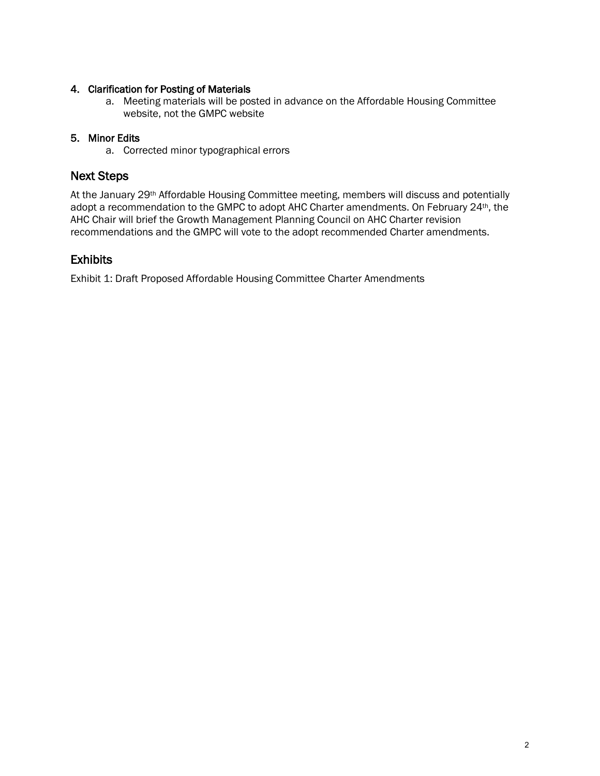## 4. Clarification for Posting of Materials

a. Meeting materials will be posted in advance on the Affordable Housing Committee website, not the GMPC website

## 5. Minor Edits

a. Corrected minor typographical errors

# Next Steps

At the January 29<sup>th</sup> Affordable Housing Committee meeting, members will discuss and potentially adopt a recommendation to the GMPC to adopt AHC Charter amendments. On February 24th, the AHC Chair will brief the Growth Management Planning Council on AHC Charter revision recommendations and the GMPC will vote to the adopt recommended Charter amendments.

# **Exhibits**

Exhibit 1: Draft Proposed Affordable Housing Committee Charter Amendments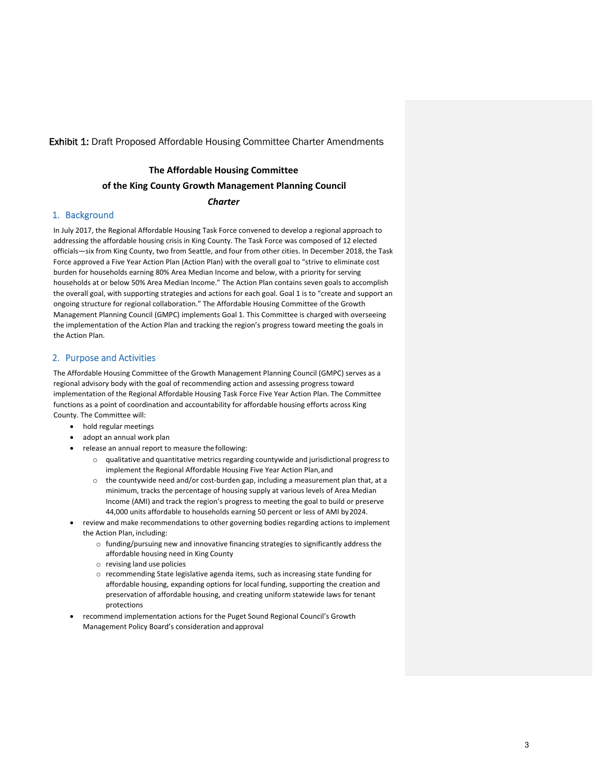#### Exhibit 1: Draft Proposed Affordable Housing Committee Charter Amendments

#### **The Affordable Housing Committee**

#### **of the King County Growth Management Planning Council**

#### *Charter*

#### 1. Background

In July 2017, the Regional Affordable Housing Task Force convened to develop a regional approach to addressing the affordable housing crisis in King County. The Task Force was composed of 12 elected officials—six from King County, two from Seattle, and four from other cities. In December 2018, the Task Force approved a Five Year Action Plan (Action Plan) with the overall goal to "strive to eliminate cost burden for households earning 80% Area Median Income and below, with a priority for serving households at or below 50% Area Median Income." The Action Plan contains seven goals to accomplish the overall goal, with supporting strategies and actions for each goal. Goal 1 is to "create and support an ongoing structure for regional collaboration." The Affordable Housing Committee of the Growth Management Planning Council (GMPC) implements Goal 1. This Committee is charged with overseeing the implementation of the Action Plan and tracking the region's progress toward meeting the goals in the Action Plan.

#### 2. Purpose and Activities

The Affordable Housing Committee of the Growth Management Planning Council (GMPC) serves as a regional advisory body with the goal of recommending action and assessing progress toward implementation of the Regional Affordable Housing Task Force Five Year Action Plan. The Committee functions as a point of coordination and accountability for affordable housing efforts across King County. The Committee will:

- hold regular meetings
- adopt an annual work plan
	- release an annual report to measure the following:
		- $\circ$  qualitative and quantitative metrics regarding countywide and jurisdictional progress to implement the Regional Affordable Housing Five Year Action Plan,and
		- $\circ$  the countywide need and/or cost-burden gap, including a measurement plan that, at a minimum, tracks the percentage of housing supply at various levels of Area Median Income (AMI) and track the region's progress to meeting the goal to build or preserve 44,000 units affordable to households earning 50 percent or less of AMI by2024.
- review and make recommendations to other governing bodies regarding actions to implement the Action Plan, including:
	- o funding/pursuing new and innovative financing strategies to significantly address the affordable housing need in King County
	- o revising land use policies
	- o recommending State legislative agenda items, such as increasing state funding for affordable housing, expanding options for local funding, supporting the creation and preservation of affordable housing, and creating uniform statewide laws for tenant protections
- recommend implementation actions for the Puget Sound Regional Council's Growth Management Policy Board's consideration andapproval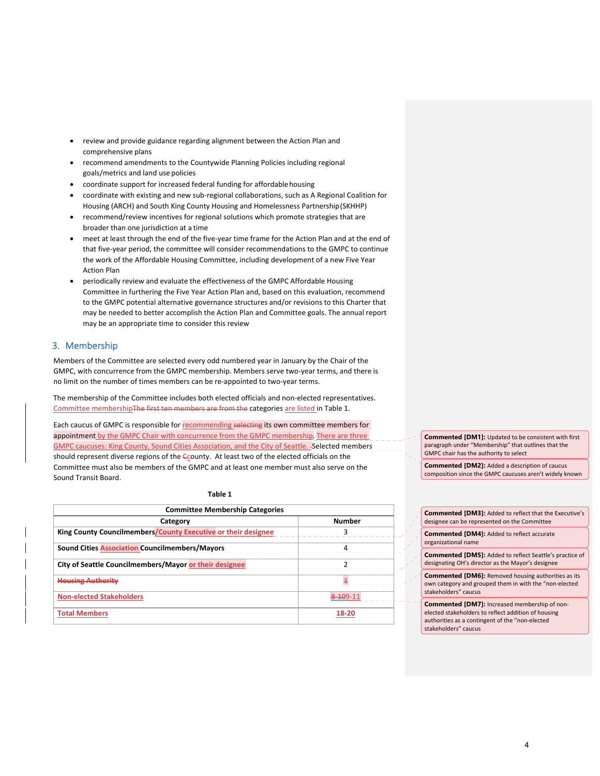- review and provide guidance regarding alignment between the Action Plan and comprehensive plans
- recommend amendments to the Countywide Planning Policies including regional goals/metrics and land use policies
- coordinate support for increased federal funding for affordablehousing
- coordinate with existing and new sub‐regional collaborations, such as A Regional Coalition for Housing (ARCH) and South King County Housing and Homelessness Partnership(SKHHP)
- recommend/review incentives for regional solutions which promote strategies that are broader than one jurisdiction at a time
- meet at least through the end of the five-year time frame for the Action Plan and at the end of that five‐year period, the committee will consider recommendations to the GMPC to continue the work of the Affordable Housing Committee, including development of a new Five Year Action Plan
- periodically review and evaluate the effectiveness of the GMPC Affordable Housing Committee in furthering the Five Year Action Plan and, based on this evaluation, recommend to the GMPC potential alternative governance structures and/or revisions to this Charter that may be needed to better accomplish the Action Plan and Committee goals. The annual report may be an appropriate time to consider this review

#### 3. Membership

Members of the Committee are selected every odd numbered year in January by the Chair of the GMPC, with concurrence from the GMPC membership. Members serve two-year terms, and there is no limit on the number of times members can be re‐appointed to two‐year terms.

The membership of the Committee includes both elected officials and non-elected representatives. Committee membershipThe first ten members are from the categories are listed in Table 1.

Each caucus of GMPC is responsible for recommending selecting its own committee members for appointment by the GMPC Chair with concurrence from the GMPC membership. There are three GMPC caucuses: King County, Sound Cities Association, and the City of Seattle. Selected members should represent diverse regions of the Ccounty. At least two of the elected officials on the Committee must also be members of the GMPC and at least one member must also serve on the Sound Transit Board.

**Table 1**

| <b>Committee Membership Categories</b>                        |               |
|---------------------------------------------------------------|---------------|
| Category                                                      | <b>Number</b> |
| King County Councilmembers/County Executive or their designee | 3             |
| <b>Sound Cities Association Councilmembers/Mayors</b>         |               |
| City of Seattle Councilmembers/Mayor or their designee        |               |
| <b>Housing Authority</b>                                      | 4             |
| <b>Non-elected Stakeholders</b>                               | 8 1 0 9 - 11  |
| <b>Total Members</b>                                          | 18-20         |

**Commented [DM1]:** Updated to be consistent with first paragraph under "Membership" that outlines that the GMPC chair has the authority to select

**Commented [DM2]:** Added a description of caucus composition since the GMPC caucuses aren't widely known

**Commented [DM3]:** Added to reflect that the Executive's designee can be represented on the Committee

**Commented [DM4]:** Added to reflect accurate organizational name

**Commented [DM5]:** Added to reflect Seattle's practice of designating OH's director as the Mayor's designee

**Commented [DM6]:** Removed housing authorities as its own category and grouped them in with the "non‐elected stakeholders" caucus

**Commented [DM7]:** Increased membership of non‐ elected stakeholders to reflect addition of housing authorities as a contingent of the "non‐elected stakeholders" caucus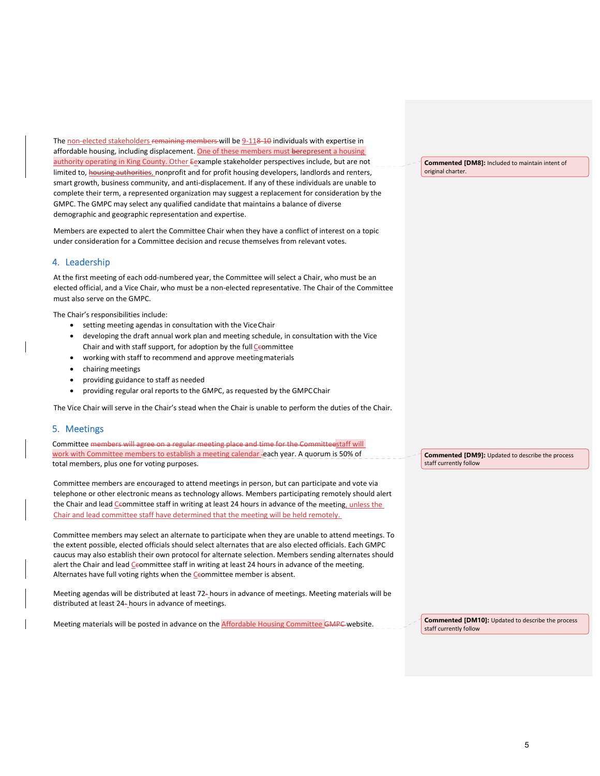The non-elected stakeholders remaining members will be 9-118-10 individuals with expertise in affordable housing, including displacement. <mark>One of these members must berepresent a housing</mark> authority operating in King County. Other Eexample stakeholder perspectives include, but are not limited to, **housing authorities**, nonprofit and for profit housing developers, landlords and renters, smart growth, business community, and anti‐displacement. If any of these individuals are unable to complete their term, a represented organization may suggest a replacement for consideration by the GMPC. The GMPC may select any qualified candidate that maintains a balance of diverse demographic and geographic representation and expertise.

Members are expected to alert the Committee Chair when they have a conflict of interest on a topic under consideration for a Committee decision and recuse themselves from relevant votes.

#### 4. Leadership

At the first meeting of each odd‐numbered year, the Committee will select a Chair, who must be an elected official, and a Vice Chair, who must be a non-elected representative. The Chair of the Committee must also serve on the GMPC.

The Chair's responsibilities include:

- setting meeting agendas in consultation with the ViceChair
- developing the draft annual work plan and meeting schedule, in consultation with the Vice Chair and with staff support, for adoption by the full Ceommittee
- working with staff to recommend and approve meetingmaterials
- chairing meetings
- providing guidance to staff as needed
- providing regular oral reports to the GMPC, as requested by the GMPCChair

The Vice Chair will serve in the Chair's stead when the Chair is unable to perform the duties of the Chair.

#### 5. Meetings

Committee members will agree on a regular meeting place and time for the Committeestaff will work with Committee members to establish a meeting calendar each year. A quorum is 50% of total members, plus one for voting purposes.

Committee members are encouraged to attend meetings in person, but can participate and vote via telephone or other electronic means as technology allows. Members participating remotely should alert the Chair and lead Ceommittee staff in writing at least 24 hours in advance of the meeting, unless the Chair and lead committee staff have determined that the meeting will be held remotely.

Committee members may select an alternate to participate when they are unable to attend meetings. To the extent possible, elected officials should select alternates that are also elected officials. Each GMPC caucus may also establish their own protocol for alternate selection. Members sending alternates should alert the Chair and lead Ceommittee staff in writing at least 24 hours in advance of the meeting. Alternates have full voting rights when the Ceommittee member is absent.

Meeting agendas will be distributed at least 72‐ hours in advance of meetings. Meeting materials will be distributed at least 24‐ hours in advance of meetings.

Meeting materials will be posted in advance on the Affordable Housing Committee GMPC website.

**Commented [DM8]:** Included to maintain intent of original charter.

**Commented [DM9]:** Updated to describe the process staff currently follow

**Commented [DM10]:** Updated to describe the process staff currently follow